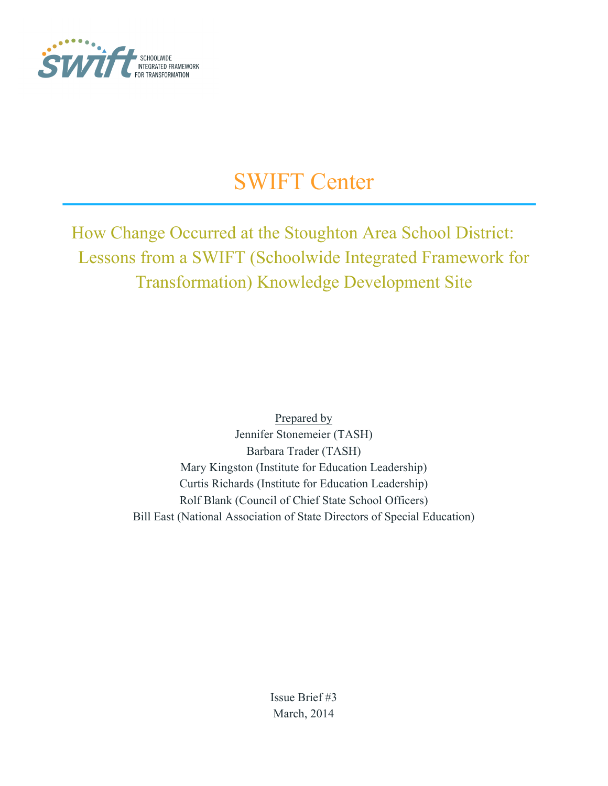

# SWIFT Center

How Change Occurred at the Stoughton Area School District: Lessons from a SWIFT (Schoolwide Integrated Framework for Transformation) Knowledge Development Site

> Prepared by Jennifer Stonemeier (TASH) Barbara Trader (TASH) Mary Kingston (Institute for Education Leadership) Curtis Richards (Institute for Education Leadership) Rolf Blank (Council of Chief State School Officers) Bill East (National Association of State Directors of Special Education)

> > Issue Brief #3 March, 2014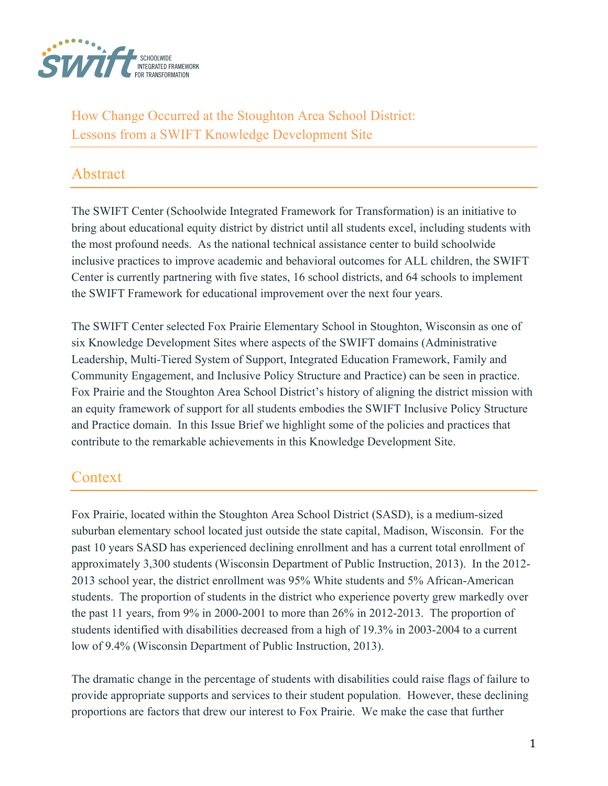

How Change Occurred at the Stoughton Area School District: Lessons from a SWIFT Knowledge Development Site

#### Abstract

The SWIFT Center (Schoolwide Integrated Framework for Transformation) is an initiative to bring about educational equity district by district until all students excel, including students with the most profound needs. As the national technical assistance center to build schoolwide inclusive practices to improve academic and behavioral outcomes for ALL children, the SWIFT Center is currently partnering with five states, 16 school districts, and 64 schools to implement the SWIFT Framework for educational improvement over the next four years.

The SWIFT Center selected Fox Prairie Elementary School in Stoughton, Wisconsin as one of six Knowledge Development Sites where aspects of the SWIFT domains (Administrative Leadership, Multi-Tiered System of Support, Integrated Education Framework, Family and Community Engagement, and Inclusive Policy Structure and Practice) can be seen in practice. Fox Prairie and the Stoughton Area School District's history of aligning the district mission with an equity framework of support for all students embodies the SWIFT Inclusive Policy Structure and Practice domain. In this Issue Brief we highlight some of the policies and practices that contribute to the remarkable achievements in this Knowledge Development Site.

#### **Context**

Fox Prairie, located within the Stoughton Area School District (SASD), is a medium-sized suburban elementary school located just outside the state capital, Madison, Wisconsin. For the past 10 years SASD has experienced declining enrollment and has a current total enrollment of approximately 3,300 students (Wisconsin Department of Public Instruction, 2013). In the 2012- 2013 school year, the district enrollment was 95% White students and 5% African-American students. The proportion of students in the district who experience poverty grew markedly over the past 11 years, from 9% in 2000-2001 to more than 26% in 2012-2013. The proportion of students identified with disabilities decreased from a high of 19.3% in 2003-2004 to a current low of 9.4% (Wisconsin Department of Public Instruction, 2013).

The dramatic change in the percentage of students with disabilities could raise flags of failure to provide appropriate supports and services to their student population. However, these declining proportions are factors that drew our interest to Fox Prairie. We make the case that further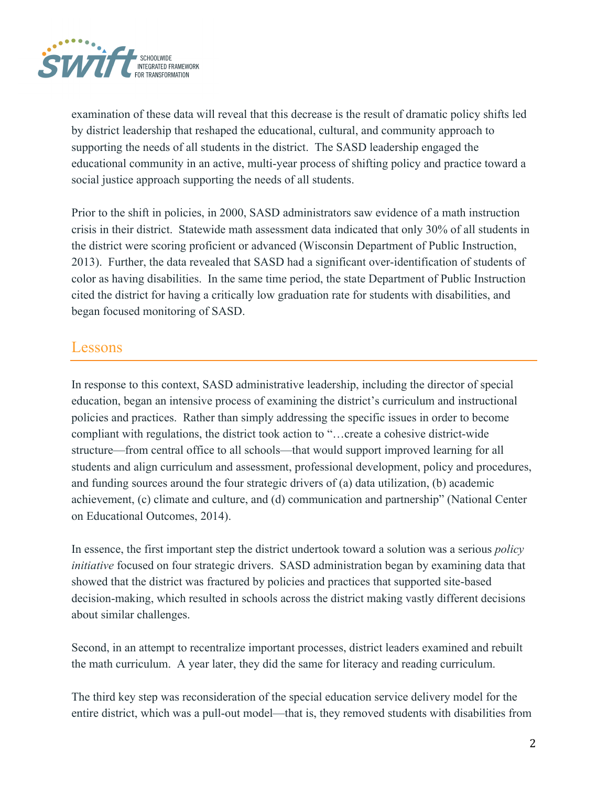

examination of these data will reveal that this decrease is the result of dramatic policy shifts led by district leadership that reshaped the educational, cultural, and community approach to supporting the needs of all students in the district. The SASD leadership engaged the educational community in an active, multi-year process of shifting policy and practice toward a social justice approach supporting the needs of all students.

Prior to the shift in policies, in 2000, SASD administrators saw evidence of a math instruction crisis in their district. Statewide math assessment data indicated that only 30% of all students in the district were scoring proficient or advanced (Wisconsin Department of Public Instruction, 2013). Further, the data revealed that SASD had a significant over-identification of students of color as having disabilities. In the same time period, the state Department of Public Instruction cited the district for having a critically low graduation rate for students with disabilities, and began focused monitoring of SASD.

#### Lessons

In response to this context, SASD administrative leadership, including the director of special education, began an intensive process of examining the district's curriculum and instructional policies and practices. Rather than simply addressing the specific issues in order to become compliant with regulations, the district took action to "…create a cohesive district-wide structure—from central office to all schools—that would support improved learning for all students and align curriculum and assessment, professional development, policy and procedures, and funding sources around the four strategic drivers of (a) data utilization, (b) academic achievement, (c) climate and culture, and (d) communication and partnership" (National Center on Educational Outcomes, 2014).

In essence, the first important step the district undertook toward a solution was a serious *policy initiative* focused on four strategic drivers. SASD administration began by examining data that showed that the district was fractured by policies and practices that supported site-based decision-making, which resulted in schools across the district making vastly different decisions about similar challenges.

Second, in an attempt to recentralize important processes, district leaders examined and rebuilt the math curriculum. A year later, they did the same for literacy and reading curriculum.

The third key step was reconsideration of the special education service delivery model for the entire district, which was a pull-out model—that is, they removed students with disabilities from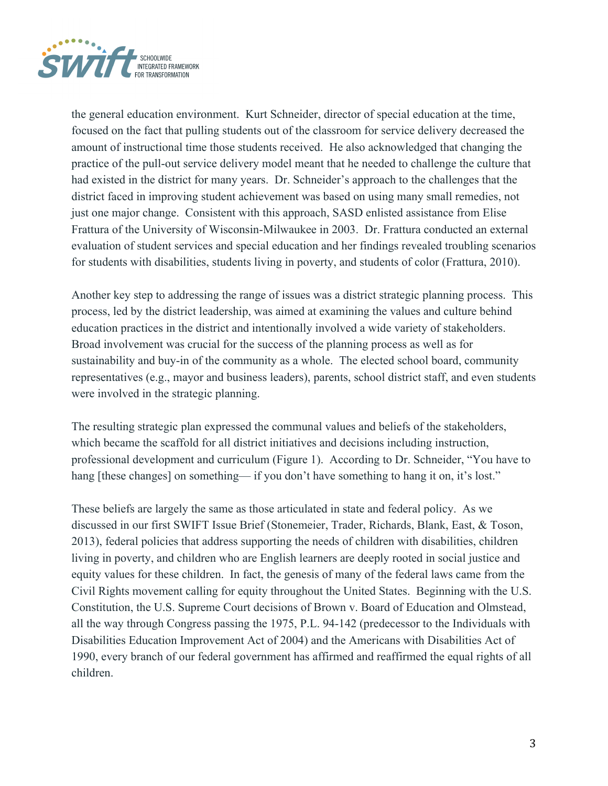

the general education environment. Kurt Schneider, director of special education at the time, focused on the fact that pulling students out of the classroom for service delivery decreased the amount of instructional time those students received. He also acknowledged that changing the practice of the pull-out service delivery model meant that he needed to challenge the culture that had existed in the district for many years. Dr. Schneider's approach to the challenges that the district faced in improving student achievement was based on using many small remedies, not just one major change. Consistent with this approach, SASD enlisted assistance from Elise Frattura of the University of Wisconsin-Milwaukee in 2003. Dr. Frattura conducted an external evaluation of student services and special education and her findings revealed troubling scenarios for students with disabilities, students living in poverty, and students of color (Frattura, 2010).

Another key step to addressing the range of issues was a district strategic planning process. This process, led by the district leadership, was aimed at examining the values and culture behind education practices in the district and intentionally involved a wide variety of stakeholders. Broad involvement was crucial for the success of the planning process as well as for sustainability and buy-in of the community as a whole. The elected school board, community representatives (e.g., mayor and business leaders), parents, school district staff, and even students were involved in the strategic planning.

The resulting strategic plan expressed the communal values and beliefs of the stakeholders, which became the scaffold for all district initiatives and decisions including instruction, professional development and curriculum (Figure 1). According to Dr. Schneider, "You have to hang [these changes] on something— if you don't have something to hang it on, it's lost."

These beliefs are largely the same as those articulated in state and federal policy. As we discussed in our first SWIFT Issue Brief (Stonemeier, Trader, Richards, Blank, East, & Toson, 2013), federal policies that address supporting the needs of children with disabilities, children living in poverty, and children who are English learners are deeply rooted in social justice and equity values for these children. In fact, the genesis of many of the federal laws came from the Civil Rights movement calling for equity throughout the United States. Beginning with the U.S. Constitution, the U.S. Supreme Court decisions of Brown v. Board of Education and Olmstead, all the way through Congress passing the 1975, P.L. 94-142 (predecessor to the Individuals with Disabilities Education Improvement Act of 2004) and the Americans with Disabilities Act of 1990, every branch of our federal government has affirmed and reaffirmed the equal rights of all children.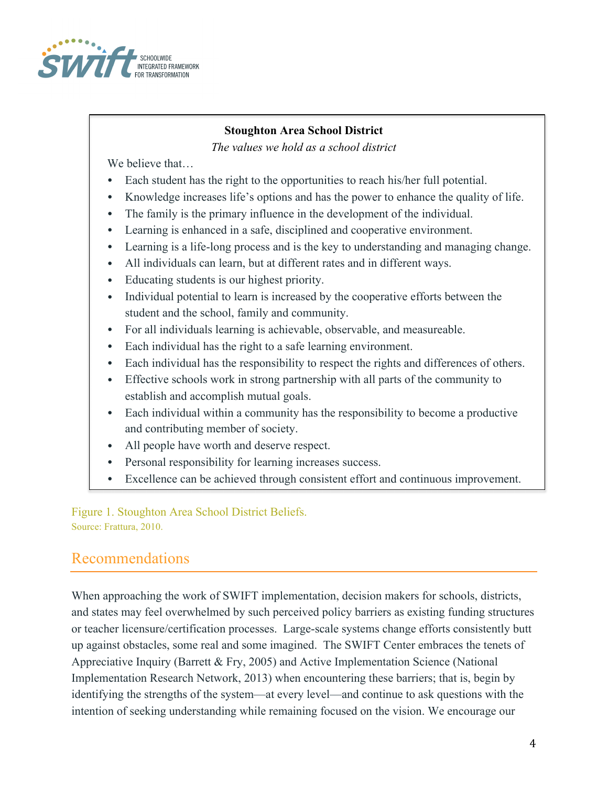

#### **Stoughton Area School District**

*The values we hold as a school district*

We believe that...

- Each student has the right to the opportunities to reach his/her full potential.
- Knowledge increases life's options and has the power to enhance the quality of life.
- The family is the primary influence in the development of the individual.
- Learning is enhanced in a safe, disciplined and cooperative environment.
- Learning is a life-long process and is the key to understanding and managing change.
- All individuals can learn, but at different rates and in different ways.
- Educating students is our highest priority.
- Individual potential to learn is increased by the cooperative efforts between the student and the school, family and community.
- For all individuals learning is achievable, observable, and measureable.
- Each individual has the right to a safe learning environment.
- Each individual has the responsibility to respect the rights and differences of others.
- Effective schools work in strong partnership with all parts of the community to establish and accomplish mutual goals.
- Each individual within a community has the responsibility to become a productive and contributing member of society.
- All people have worth and deserve respect.
- Personal responsibility for learning increases success.
- Excellence can be achieved through consistent effort and continuous improvement.

Figure 1. Stoughton Area School District Beliefs. Source: Frattura, 2010.

# Recommendations

When approaching the work of SWIFT implementation, decision makers for schools, districts, and states may feel overwhelmed by such perceived policy barriers as existing funding structures or teacher licensure/certification processes. Large-scale systems change efforts consistently butt up against obstacles, some real and some imagined. The SWIFT Center embraces the tenets of Appreciative Inquiry (Barrett & Fry, 2005) and Active Implementation Science (National Implementation Research Network, 2013) when encountering these barriers; that is, begin by identifying the strengths of the system—at every level—and continue to ask questions with the intention of seeking understanding while remaining focused on the vision. We encourage our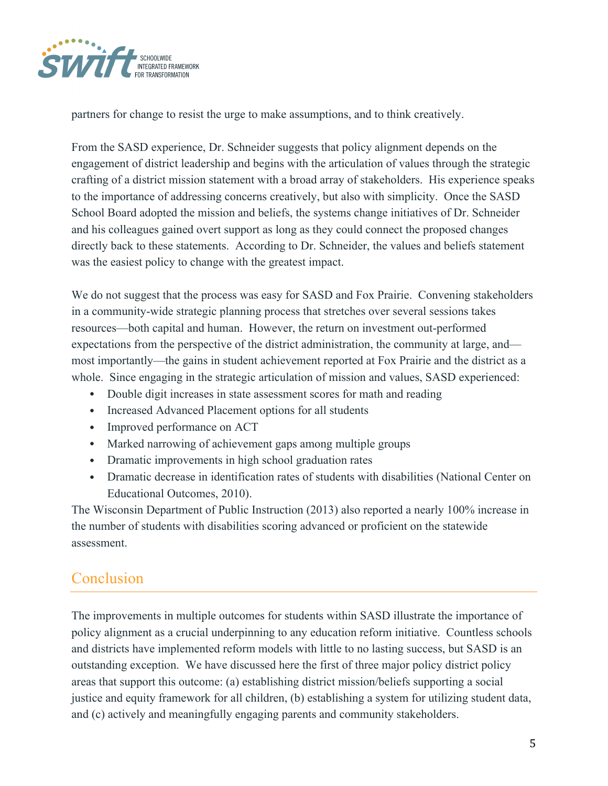

partners for change to resist the urge to make assumptions, and to think creatively.

From the SASD experience, Dr. Schneider suggests that policy alignment depends on the engagement of district leadership and begins with the articulation of values through the strategic crafting of a district mission statement with a broad array of stakeholders. His experience speaks to the importance of addressing concerns creatively, but also with simplicity. Once the SASD School Board adopted the mission and beliefs, the systems change initiatives of Dr. Schneider and his colleagues gained overt support as long as they could connect the proposed changes directly back to these statements. According to Dr. Schneider, the values and beliefs statement was the easiest policy to change with the greatest impact.

We do not suggest that the process was easy for SASD and Fox Prairie. Convening stakeholders in a community-wide strategic planning process that stretches over several sessions takes resources—both capital and human. However, the return on investment out-performed expectations from the perspective of the district administration, the community at large, and most importantly—the gains in student achievement reported at Fox Prairie and the district as a whole. Since engaging in the strategic articulation of mission and values, SASD experienced:

- Double digit increases in state assessment scores for math and reading
- Increased Advanced Placement options for all students
- Improved performance on ACT
- Marked narrowing of achievement gaps among multiple groups
- Dramatic improvements in high school graduation rates
- Dramatic decrease in identification rates of students with disabilities (National Center on Educational Outcomes, 2010).

The Wisconsin Department of Public Instruction (2013) also reported a nearly 100% increase in the number of students with disabilities scoring advanced or proficient on the statewide assessment.

## Conclusion

The improvements in multiple outcomes for students within SASD illustrate the importance of policy alignment as a crucial underpinning to any education reform initiative. Countless schools and districts have implemented reform models with little to no lasting success, but SASD is an outstanding exception. We have discussed here the first of three major policy district policy areas that support this outcome: (a) establishing district mission/beliefs supporting a social justice and equity framework for all children, (b) establishing a system for utilizing student data, and (c) actively and meaningfully engaging parents and community stakeholders.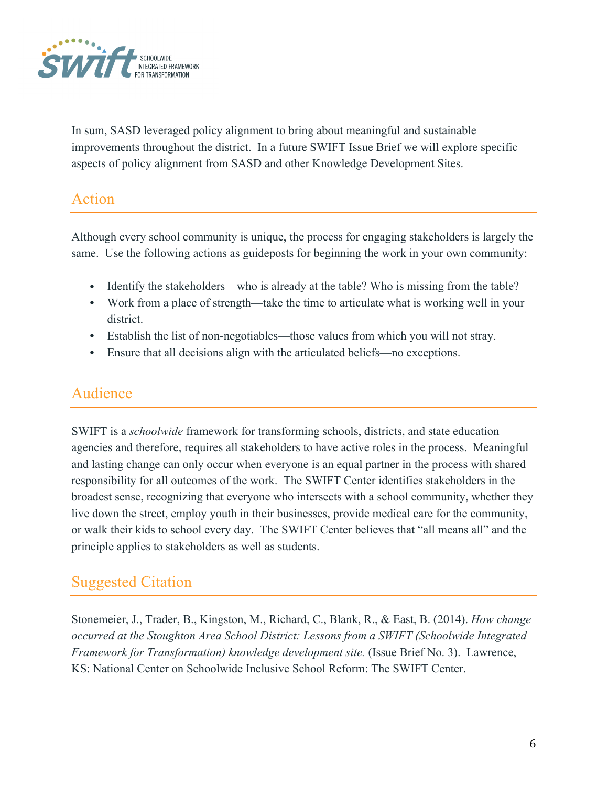

In sum, SASD leveraged policy alignment to bring about meaningful and sustainable improvements throughout the district. In a future SWIFT Issue Brief we will explore specific aspects of policy alignment from SASD and other Knowledge Development Sites.

## Action

Although every school community is unique, the process for engaging stakeholders is largely the same. Use the following actions as guideposts for beginning the work in your own community:

- Identify the stakeholders—who is already at the table? Who is missing from the table?
- Work from a place of strength—take the time to articulate what is working well in your district.
- Establish the list of non-negotiables—those values from which you will not stray.
- Ensure that all decisions align with the articulated beliefs—no exceptions.

# Audience

SWIFT is a *schoolwide* framework for transforming schools, districts, and state education agencies and therefore, requires all stakeholders to have active roles in the process. Meaningful and lasting change can only occur when everyone is an equal partner in the process with shared responsibility for all outcomes of the work. The SWIFT Center identifies stakeholders in the broadest sense, recognizing that everyone who intersects with a school community, whether they live down the street, employ youth in their businesses, provide medical care for the community, or walk their kids to school every day. The SWIFT Center believes that "all means all" and the principle applies to stakeholders as well as students.

## Suggested Citation

Stonemeier, J., Trader, B., Kingston, M., Richard, C., Blank, R., & East, B. (2014). *How change occurred at the Stoughton Area School District: Lessons from a SWIFT (Schoolwide Integrated Framework for Transformation) knowledge development site.* (Issue Brief No. 3). Lawrence, KS: National Center on Schoolwide Inclusive School Reform: The SWIFT Center.